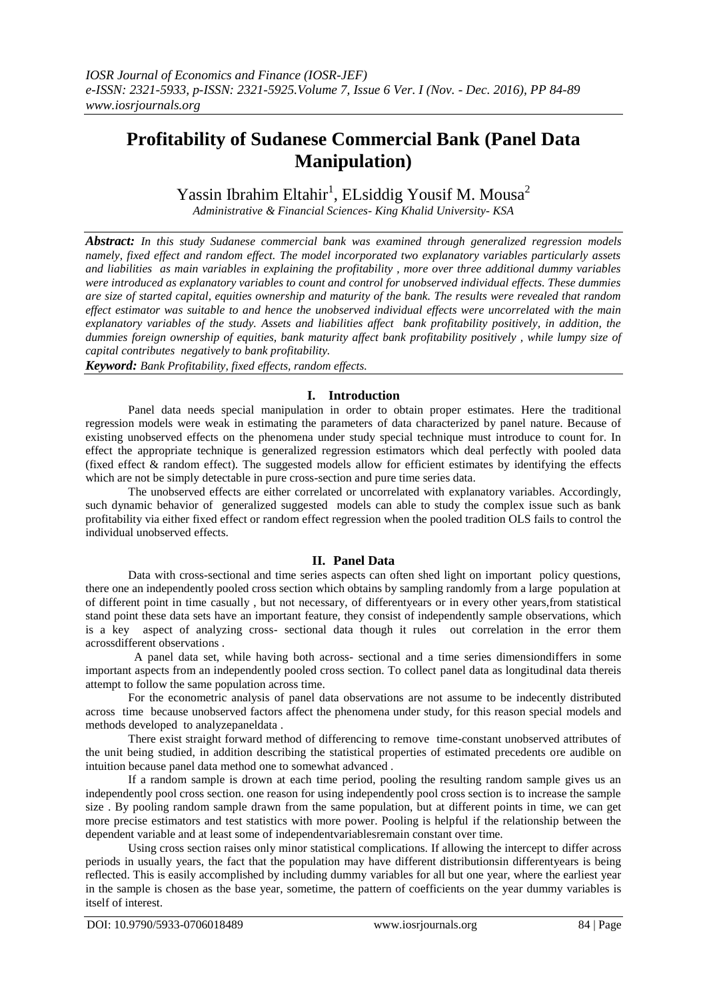# **Profitability of Sudanese Commercial Bank (Panel Data Manipulation)**

Yassin Ibrahim Eltahir<sup>1</sup>, ELsiddig Yousif M. Mousa<sup>2</sup>

*Administrative & Financial Sciences- King Khalid University- KSA*

*Abstract: In this study Sudanese commercial bank was examined through generalized regression models namely, fixed effect and random effect. The model incorporated two explanatory variables particularly assets and liabilities as main variables in explaining the profitability , more over three additional dummy variables were introduced as explanatory variables to count and control for unobserved individual effects. These dummies are size of started capital, equities ownership and maturity of the bank. The results were revealed that random effect estimator was suitable to and hence the unobserved individual effects were uncorrelated with the main explanatory variables of the study. Assets and liabilities affect bank profitability positively, in addition, the dummies foreign ownership of equities, bank maturity affect bank profitability positively , while lumpy size of capital contributes negatively to bank profitability.*

*Keyword: Bank Profitability, fixed effects, random effects.*

# **I. Introduction**

Panel data needs special manipulation in order to obtain proper estimates. Here the traditional regression models were weak in estimating the parameters of data characterized by panel nature. Because of existing unobserved effects on the phenomena under study special technique must introduce to count for. In effect the appropriate technique is generalized regression estimators which deal perfectly with pooled data (fixed effect & random effect). The suggested models allow for efficient estimates by identifying the effects which are not be simply detectable in pure cross-section and pure time series data.

The unobserved effects are either correlated or uncorrelated with explanatory variables. Accordingly, such dynamic behavior of generalized suggested models can able to study the complex issue such as bank profitability via either fixed effect or random effect regression when the pooled tradition OLS fails to control the individual unobserved effects.

# **II. Panel Data**

Data with cross-sectional and time series aspects can often shed light on important policy questions, there one an independently pooled cross section which obtains by sampling randomly from a large population at of different point in time casually , but not necessary, of differentyears or in every other years,from statistical stand point these data sets have an important feature, they consist of independently sample observations, which is a key aspect of analyzing cross- sectional data though it rules out correlation in the error them acrossdifferent observations .

 A panel data set, while having both across- sectional and a time series dimensiondiffers in some important aspects from an independently pooled cross section. To collect panel data as longitudinal data thereis attempt to follow the same population across time.

For the econometric analysis of panel data observations are not assume to be indecently distributed across time because unobserved factors affect the phenomena under study, for this reason special models and methods developed to analyzepaneldata .

There exist straight forward method of differencing to remove time-constant unobserved attributes of the unit being studied, in addition describing the statistical properties of estimated precedents ore audible on intuition because panel data method one to somewhat advanced .

If a random sample is drown at each time period, pooling the resulting random sample gives us an independently pool cross section. one reason for using independently pool cross section is to increase the sample size . By pooling random sample drawn from the same population, but at different points in time, we can get more precise estimators and test statistics with more power. Pooling is helpful if the relationship between the dependent variable and at least some of independentvariablesremain constant over time.

Using cross section raises only minor statistical complications. If allowing the intercept to differ across periods in usually years, the fact that the population may have different distributionsin differentyears is being reflected. This is easily accomplished by including dummy variables for all but one year, where the earliest year in the sample is chosen as the base year, sometime, the pattern of coefficients on the year dummy variables is itself of interest.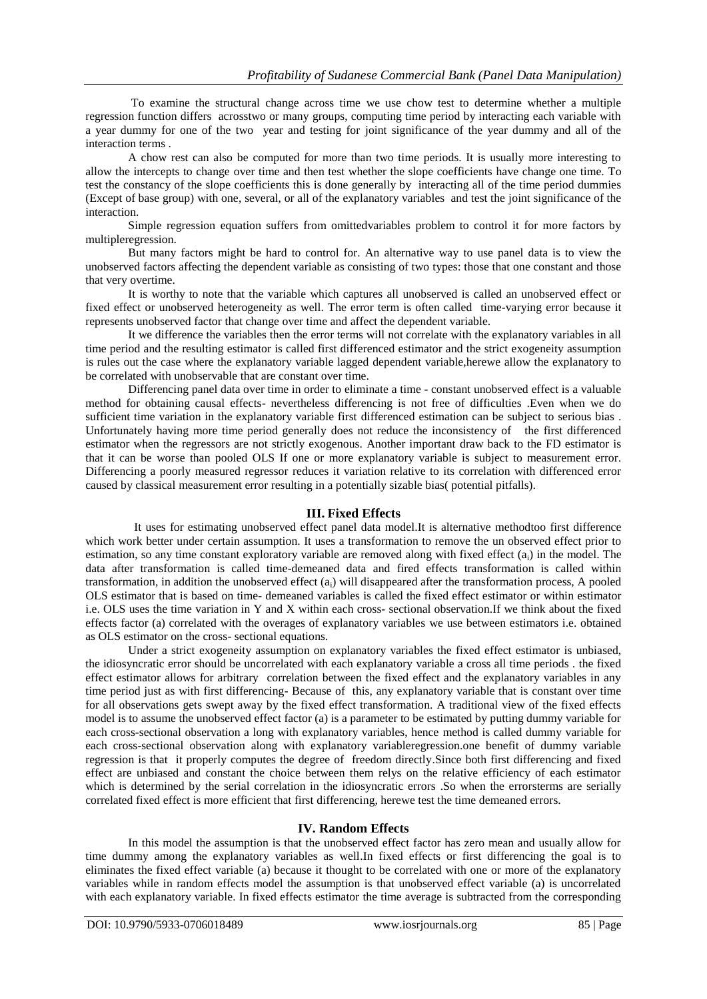To examine the structural change across time we use chow test to determine whether a multiple regression function differs acrosstwo or many groups, computing time period by interacting each variable with a year dummy for one of the two year and testing for joint significance of the year dummy and all of the interaction terms .

A chow rest can also be computed for more than two time periods. It is usually more interesting to allow the intercepts to change over time and then test whether the slope coefficients have change one time. To test the constancy of the slope coefficients this is done generally by interacting all of the time period dummies (Except of base group) with one, several, or all of the explanatory variables and test the joint significance of the interaction.

Simple regression equation suffers from omittedvariables problem to control it for more factors by multipleregression.

But many factors might be hard to control for. An alternative way to use panel data is to view the unobserved factors affecting the dependent variable as consisting of two types: those that one constant and those that very overtime.

It is worthy to note that the variable which captures all unobserved is called an unobserved effect or fixed effect or unobserved heterogeneity as well. The error term is often called time-varying error because it represents unobserved factor that change over time and affect the dependent variable.

It we difference the variables then the error terms will not correlate with the explanatory variables in all time period and the resulting estimator is called first differenced estimator and the strict exogeneity assumption is rules out the case where the explanatory variable lagged dependent variable,herewe allow the explanatory to be correlated with unobservable that are constant over time.

Differencing panel data over time in order to eliminate a time - constant unobserved effect is a valuable method for obtaining causal effects- nevertheless differencing is not free of difficulties .Even when we do sufficient time variation in the explanatory variable first differenced estimation can be subject to serious bias . Unfortunately having more time period generally does not reduce the inconsistency of the first differenced estimator when the regressors are not strictly exogenous. Another important draw back to the FD estimator is that it can be worse than pooled OLS If one or more explanatory variable is subject to measurement error. Differencing a poorly measured regressor reduces it variation relative to its correlation with differenced error caused by classical measurement error resulting in a potentially sizable bias( potential pitfalls).

# **III. Fixed Effects**

 It uses for estimating unobserved effect panel data model.It is alternative methodtoo first difference which work better under certain assumption. It uses a transformation to remove the un observed effect prior to estimation, so any time constant exploratory variable are removed along with fixed effect (ai) in the model. The data after transformation is called time-demeaned data and fired effects transformation is called within transformation, in addition the unobserved effect  $(a_i)$  will disappeared after the transformation process, A pooled OLS estimator that is based on time- demeaned variables is called the fixed effect estimator or within estimator i.e. OLS uses the time variation in Y and X within each cross- sectional observation.If we think about the fixed effects factor (a) correlated with the overages of explanatory variables we use between estimators i.e. obtained as OLS estimator on the cross- sectional equations.

Under a strict exogeneity assumption on explanatory variables the fixed effect estimator is unbiased, the idiosyncratic error should be uncorrelated with each explanatory variable a cross all time periods . the fixed effect estimator allows for arbitrary correlation between the fixed effect and the explanatory variables in any time period just as with first differencing- Because of this, any explanatory variable that is constant over time for all observations gets swept away by the fixed effect transformation. A traditional view of the fixed effects model is to assume the unobserved effect factor (a) is a parameter to be estimated by putting dummy variable for each cross-sectional observation a long with explanatory variables, hence method is called dummy variable for each cross-sectional observation along with explanatory variableregression.one benefit of dummy variable regression is that it properly computes the degree of freedom directly.Since both first differencing and fixed effect are unbiased and constant the choice between them relys on the relative efficiency of each estimator which is determined by the serial correlation in the idiosyncratic errors. So when the errorsterms are serially correlated fixed effect is more efficient that first differencing, herewe test the time demeaned errors.

# **IV. Random Effects**

In this model the assumption is that the unobserved effect factor has zero mean and usually allow for time dummy among the explanatory variables as well.In fixed effects or first differencing the goal is to eliminates the fixed effect variable (a) because it thought to be correlated with one or more of the explanatory variables while in random effects model the assumption is that unobserved effect variable (a) is uncorrelated with each explanatory variable. In fixed effects estimator the time average is subtracted from the corresponding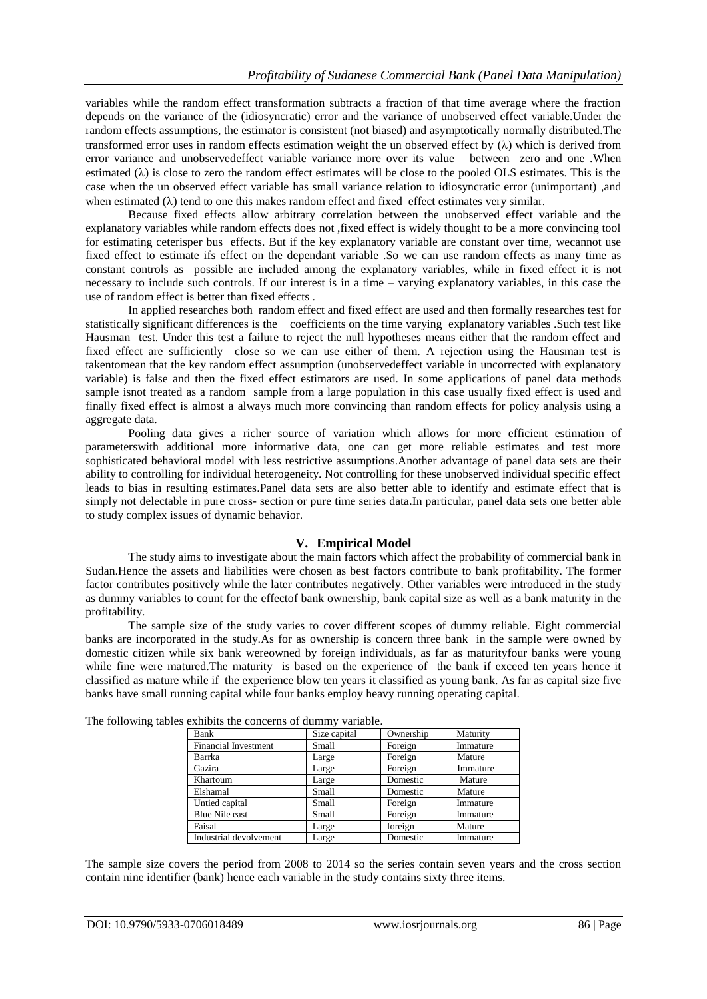variables while the random effect transformation subtracts a fraction of that time average where the fraction depends on the variance of the (idiosyncratic) error and the variance of unobserved effect variable.Under the random effects assumptions, the estimator is consistent (not biased) and asymptotically normally distributed.The transformed error uses in random effects estimation weight the un observed effect by  $(\lambda)$  which is derived from error variance and unobservedeffect variable variance more over its value between zero and one .When estimated  $(\lambda)$  is close to zero the random effect estimates will be close to the pooled OLS estimates. This is the case when the un observed effect variable has small variance relation to idiosyncratic error (unimportant) ,and when estimated  $(\lambda)$  tend to one this makes random effect and fixed effect estimates very similar.

Because fixed effects allow arbitrary correlation between the unobserved effect variable and the explanatory variables while random effects does not ,fixed effect is widely thought to be a more convincing tool for estimating ceterisper bus effects. But if the key explanatory variable are constant over time, wecannot use fixed effect to estimate ifs effect on the dependant variable .So we can use random effects as many time as constant controls as possible are included among the explanatory variables, while in fixed effect it is not necessary to include such controls. If our interest is in a time – varying explanatory variables, in this case the use of random effect is better than fixed effects .

In applied researches both random effect and fixed effect are used and then formally researches test for statistically significant differences is the coefficients on the time varying explanatory variables .Such test like Hausman test. Under this test a failure to reject the null hypotheses means either that the random effect and fixed effect are sufficiently close so we can use either of them. A rejection using the Hausman test is takentomean that the key random effect assumption (unobservedeffect variable in uncorrected with explanatory variable) is false and then the fixed effect estimators are used. In some applications of panel data methods sample isnot treated as a random sample from a large population in this case usually fixed effect is used and finally fixed effect is almost a always much more convincing than random effects for policy analysis using a aggregate data.

Pooling data gives a richer source of variation which allows for more efficient estimation of parameterswith additional more informative data, one can get more reliable estimates and test more sophisticated behavioral model with less restrictive assumptions.Another advantage of panel data sets are their ability to controlling for individual heterogeneity. Not controlling for these unobserved individual specific effect leads to bias in resulting estimates.Panel data sets are also better able to identify and estimate effect that is simply not delectable in pure cross- section or pure time series data.In particular, panel data sets one better able to study complex issues of dynamic behavior.

# **V. Empirical Model**

The study aims to investigate about the main factors which affect the probability of commercial bank in Sudan.Hence the assets and liabilities were chosen as best factors contribute to bank profitability. The former factor contributes positively while the later contributes negatively. Other variables were introduced in the study as dummy variables to count for the effectof bank ownership, bank capital size as well as a bank maturity in the profitability.

The sample size of the study varies to cover different scopes of dummy reliable. Eight commercial banks are incorporated in the study.As for as ownership is concern three bank in the sample were owned by domestic citizen while six bank wereowned by foreign individuals, as far as maturityfour banks were young while fine were matured.The maturity is based on the experience of the bank if exceed ten years hence it classified as mature while if the experience blow ten years it classified as young bank. As far as capital size five banks have small running capital while four banks employ heavy running operating capital.

| Bank                        | Size capital | Ownership | Maturity |
|-----------------------------|--------------|-----------|----------|
| <b>Financial Investment</b> | Small        | Foreign   | Immature |
| Barrka                      | Large        | Foreign   | Mature   |
| Gazira                      | Large        | Foreign   | Immature |
| Khartoum                    | Large        | Domestic  | Mature   |
| Elshamal                    | Small        | Domestic  | Mature   |
| Untied capital              | Small        | Foreign   | Immature |
| <b>Blue Nile east</b>       | Small        | Foreign   | Immature |
| Faisal                      | Large        | foreign   | Mature   |
| Industrial devolvement      | Large        | Domestic  | Immature |

The following tables exhibits the concerns of dummy variable.

The sample size covers the period from 2008 to 2014 so the series contain seven years and the cross section contain nine identifier (bank) hence each variable in the study contains sixty three items.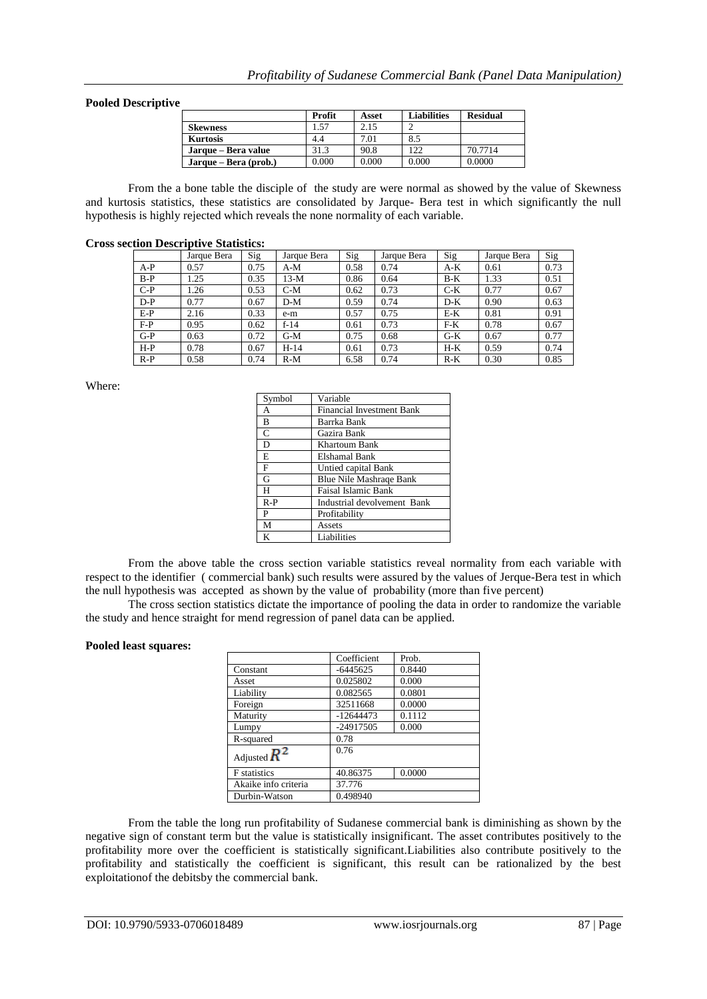### **Pooled Descriptive**

|                       | Profit | Asset | <b>Liabilities</b> | <b>Residual</b> |
|-----------------------|--------|-------|--------------------|-----------------|
| Skewness              | 57ء ا  | 2.15  |                    |                 |
| <b>Kurtosis</b>       | 4.4    | 7.01  | 8.5                |                 |
| Jarque – Bera value   | 31.3   | 90.8  | 122                | 70.7714         |
| Jarque – Bera (prob.) | 0.000  | 0.000 | 0.000              | 0.0000          |

From the a bone table the disciple of the study are were normal as showed by the value of Skewness and kurtosis statistics, these statistics are consolidated by Jarque- Bera test in which significantly the null hypothesis is highly rejected which reveals the none normality of each variable.

#### **Cross section Descriptive Statistics:**

|       | Jarque Bera | Sig  | Jarque Bera | Sig  | Jarque Bera | Sig   | Jarque Bera | Sig  |
|-------|-------------|------|-------------|------|-------------|-------|-------------|------|
| $A-P$ | 0.57        | 0.75 | A-M         | 0.58 | 0.74        | $A-K$ | 0.61        | 0.73 |
| $B-P$ | 1.25        | 0.35 | $13-M$      | 0.86 | 0.64        | $B-K$ | 1.33        | 0.51 |
| $C-P$ | 1.26        | 0.53 | $C-M$       | 0.62 | 0.73        | $C-K$ | 0.77        | 0.67 |
| $D-P$ | 0.77        | 0.67 | $D-M$       | 0.59 | 0.74        | $D-K$ | 0.90        | 0.63 |
| $E-P$ | 2.16        | 0.33 | e-m         | 0.57 | 0.75        | $E-K$ | 0.81        | 0.91 |
| $F-P$ | 0.95        | 0.62 | $f-14$      | 0.61 | 0.73        | $F-K$ | 0.78        | 0.67 |
| $G-P$ | 0.63        | 0.72 | $G-M$       | 0.75 | 0.68        | $G-K$ | 0.67        | 0.77 |
| $H-P$ | 0.78        | 0.67 | H-14        | 0.61 | 0.73        | $H-K$ | 0.59        | 0.74 |
| $R-P$ | 0.58        | 0.74 | $R-M$       | 6.58 | 0.74        | $R-K$ | 0.30        | 0.85 |

Where:

| Symbol       | Variable                         |
|--------------|----------------------------------|
| А            | <b>Financial Investment Bank</b> |
| B            | Barrka Bank                      |
| $\mathsf{C}$ | Gazira Bank                      |
| D            | Khartoum Bank                    |
| E            | Elshamal Bank                    |
| F            | Untied capital Bank              |
| G            | <b>Blue Nile Mashrage Bank</b>   |
| H            | <b>Faisal Islamic Bank</b>       |
| $R-P$        | Industrial devolvement Bank      |
| P            | Profitability                    |
| M            | Assets                           |
| K            | Liabilities                      |

From the above table the cross section variable statistics reveal normality from each variable with respect to the identifier ( commercial bank) such results were assured by the values of Jerque-Bera test in which the null hypothesis was accepted as shown by the value of probability (more than five percent)

The cross section statistics dictate the importance of pooling the data in order to randomize the variable the study and hence straight for mend regression of panel data can be applied.

#### **Pooled least squares:**

|                      | Coefficient | Prob.  |  |
|----------------------|-------------|--------|--|
| Constant             | $-6445625$  | 0.8440 |  |
| Asset                | 0.025802    | 0.000  |  |
| Liability            | 0.082565    | 0.0801 |  |
| Foreign              | 32511668    | 0.0000 |  |
| Maturity             | $-12644473$ | 0.1112 |  |
| Lumpy                | $-24917505$ | 0.000  |  |
| R-squared            | 0.78        |        |  |
| Adjusted $R^2$       | 0.76        |        |  |
| <b>F</b> statistics  | 40.86375    | 0.0000 |  |
| Akaike info criteria | 37.776      |        |  |
| Durbin-Watson        | 0.498940    |        |  |

From the table the long run profitability of Sudanese commercial bank is diminishing as shown by the negative sign of constant term but the value is statistically insignificant. The asset contributes positively to the profitability more over the coefficient is statistically significant.Liabilities also contribute positively to the profitability and statistically the coefficient is significant, this result can be rationalized by the best exploitationof the debitsby the commercial bank.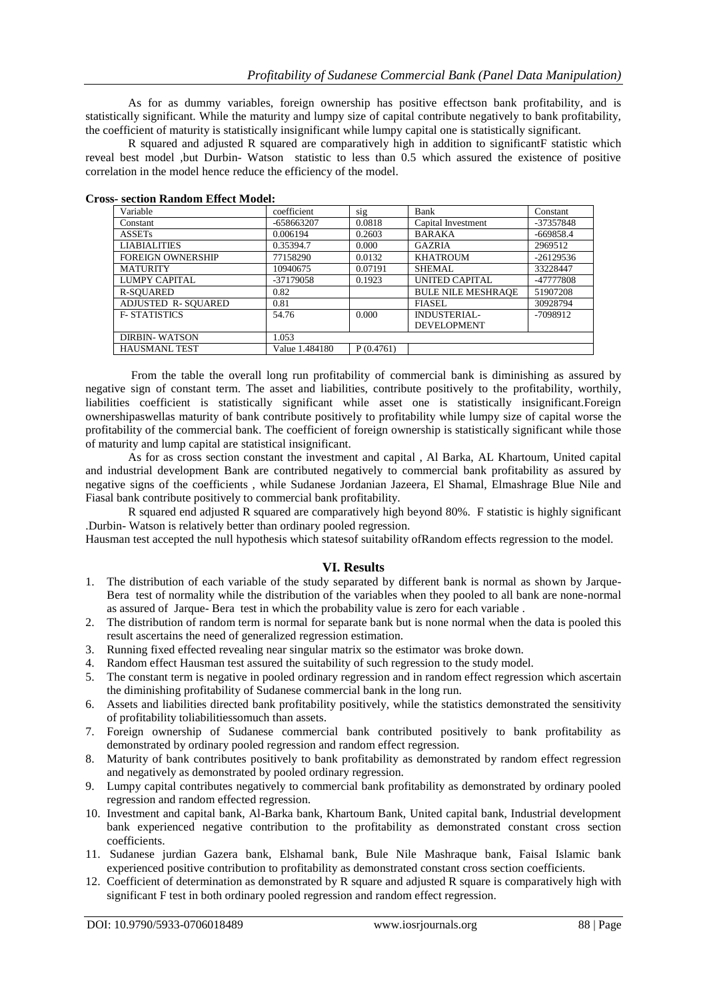As for as dummy variables, foreign ownership has positive effectson bank profitability, and is statistically significant. While the maturity and lumpy size of capital contribute negatively to bank profitability, the coefficient of maturity is statistically insignificant while lumpy capital one is statistically significant.

R squared and adjusted R squared are comparatively high in addition to significantF statistic which reveal best model ,but Durbin- Watson statistic to less than 0.5 which assured the existence of positive correlation in the model hence reduce the efficiency of the model.

| Variable                  | coefficient    | sig       | Bank                      | Constant    |
|---------------------------|----------------|-----------|---------------------------|-------------|
| Constant                  | -658663207     | 0.0818    | Capital Investment        | -37357848   |
| <b>ASSETs</b>             | 0.006194       | 0.2603    | <b>BARAKA</b>             | $-669858.4$ |
| <b>LIABIALITIES</b>       | 0.35394.7      | 0.000     | <b>GAZRIA</b>             | 2969512     |
| <b>FOREIGN OWNERSHIP</b>  | 77158290       | 0.0132    | <b>KHATROUM</b>           | $-26129536$ |
| <b>MATURITY</b>           | 10940675       | 0.07191   | SHEMAL                    | 33228447    |
| LUMPY CAPITAL             | $-37179058$    | 0.1923    | <b>UNITED CAPITAL</b>     | -47777808   |
| <b>R-SOUARED</b>          | 0.82           |           | <b>BULE NILE MESHRAOE</b> | 51907208    |
| <b>ADJUSTED R-SOUARED</b> | 0.81           |           | FIASEL.                   | 30928794    |
| <b>F-STATISTICS</b>       | 54.76          | 0.000     | INDUSTERIAL-              | $-7098912$  |
|                           |                |           | <b>DEVELOPMENT</b>        |             |
| <b>DIRBIN-WATSON</b>      | 1.053          |           |                           |             |
| <b>HAUSMANL TEST</b>      | Value 1.484180 | P(0.4761) |                           |             |

#### **Cross- section Random Effect Model:**

From the table the overall long run profitability of commercial bank is diminishing as assured by negative sign of constant term. The asset and liabilities, contribute positively to the profitability, worthily, liabilities coefficient is statistically significant while asset one is statistically insignificant.Foreign ownershipaswellas maturity of bank contribute positively to profitability while lumpy size of capital worse the profitability of the commercial bank. The coefficient of foreign ownership is statistically significant while those of maturity and lump capital are statistical insignificant.

As for as cross section constant the investment and capital , Al Barka, AL Khartoum, United capital and industrial development Bank are contributed negatively to commercial bank profitability as assured by negative signs of the coefficients , while Sudanese Jordanian Jazeera, El Shamal, Elmashrage Blue Nile and Fiasal bank contribute positively to commercial bank profitability.

R squared end adjusted R squared are comparatively high beyond 80%. F statistic is highly significant .Durbin- Watson is relatively better than ordinary pooled regression.

Hausman test accepted the null hypothesis which statesof suitability ofRandom effects regression to the model.

## **VI. Results**

- 1. The distribution of each variable of the study separated by different bank is normal as shown by Jarque-Bera test of normality while the distribution of the variables when they pooled to all bank are none-normal as assured of Jarque- Bera test in which the probability value is zero for each variable .
- 2. The distribution of random term is normal for separate bank but is none normal when the data is pooled this result ascertains the need of generalized regression estimation.
- 3. Running fixed effected revealing near singular matrix so the estimator was broke down.
- 4. Random effect Hausman test assured the suitability of such regression to the study model.
- 5. The constant term is negative in pooled ordinary regression and in random effect regression which ascertain the diminishing profitability of Sudanese commercial bank in the long run.
- 6. Assets and liabilities directed bank profitability positively, while the statistics demonstrated the sensitivity of profitability toliabilitiessomuch than assets.
- 7. Foreign ownership of Sudanese commercial bank contributed positively to bank profitability as demonstrated by ordinary pooled regression and random effect regression.
- 8. Maturity of bank contributes positively to bank profitability as demonstrated by random effect regression and negatively as demonstrated by pooled ordinary regression.
- 9. Lumpy capital contributes negatively to commercial bank profitability as demonstrated by ordinary pooled regression and random effected regression.
- 10. Investment and capital bank, Al-Barka bank, Khartoum Bank, United capital bank, Industrial development bank experienced negative contribution to the profitability as demonstrated constant cross section coefficients.
- 11. Sudanese jurdian Gazera bank, Elshamal bank, Bule Nile Mashraque bank, Faisal Islamic bank experienced positive contribution to profitability as demonstrated constant cross section coefficients.
- 12. Coefficient of determination as demonstrated by R square and adjusted R square is comparatively high with significant F test in both ordinary pooled regression and random effect regression.